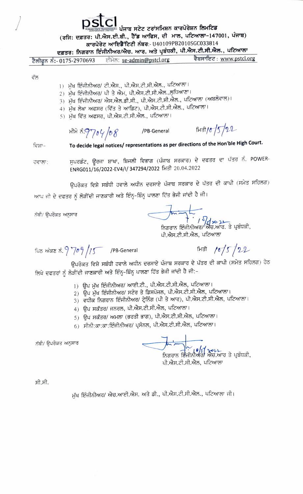ਪੰਜਾਬ ਸਟੇਟ ਟਰਾਂਸਮਿਸ਼ਨ ਕਾਰਪੋਰੇਸ਼ਨ ਲਿਮਟਿਡ (ਰਜਿ: ਦਫ਼ਤਰ: ਪੀ.ਐਸ.ਈ.ਬੀ., ਹੈੱਡ ਆਫਿਸ, ਦੀ ਮਾਲ, ਪਟਿਆਲਾ-147001, ਪੰਜਾਬ)

## ਕਾਰਪੋਰੇਟ ਆਇਡੈਂਟਿਟੀ ਨੰਬਰ:- U40109PB2010SGC033814

ਦਫ਼ਤਰ: ਨਿਗਰਾਨ ਇੰਜੀਨੀਅਰ/ਐਚ. ਆਰ. ਅਤੇ ਪ੍ਰਬੰਧਕੀ, ਪੀ.ਐਸ.ਟੀ.ਸੀ.ਐਲ., ਪਟਿਆਲਾ

ਵੈਬਸਾਇਟ: www.pstcl.org ਈਮੇਲ: se-admin@pstcl.org ਟੈਲੀਫਨ ਨੰ: 0175-2970693

## ਵੱਲ

- ।) ਮੁੱਖ ਇੰਜੀਨੀਅਰ/ ਟੀ.ਐਸ., ਪੀ.ਐਸ.ਟੀ.ਸੀ.ਐਲ., ਪਟਿਆਲਾ।
- 2) ਮੁੱਖ ਇੰਜੀਨੀਅਰ/ ਪੀ ਤੇ ਐਮ, ਪੀ.ਐਸ.ਟੀ.ਸੀ.ਐਲ.,ਲੁਧਿਆਣਾ।
- 3) ਮੁੱਖ ਇੰਜੀਨੀਅਰ/ ਐਸ.ਐਲ.ਡੀ.ਸੀ., ਪੀ.ਐਸ.ਟੀ.ਸੀ.ਐਲ., ਪਟਿਆਲਾ (ਅਬਲੋਵਾਲ)।
- 4) ਮੁੱਖ ਲੇਖਾ ਅਫਸਰ (ਵਿੱਤ ਤੇ ਆਡਿਟ), ਪੀ.ਐਸ.ਟੀ.ਸੀ.ਐਲ., ਪਟਿਆਲਾ।
- 5) ਮੱਖ ਵਿੱਤ ਅਫਸਰ, ਪੀ.ਐਸ.ਟੀ.ਸੀ.ਐਲ., ਪਟਿਆਲਾ।

भीमें रुं.9704/08 /PB-General

 $\frac{6}{5}$   $\frac{15}{22}$ 

To decide legal notices/ representations as per directions of the Hon'ble High Court. ਵਿਸ਼ਾ–

ਸੁਪਰਡੰਟ, ਊਰਜਾ ਸ਼ਾਖਾ, ਬਿਜਲੀ ਵਿਭਾਗ (ਪੰਜਾਬ ਸਰਕਾਰ) ਦੇ ਦਫਤਰ ਦਾ ਪੱਤਰ ਨੰ. POWER-ਹਵਾਲਾ: ENRG011/16/2022-EV4/I/ 347294/2022 ਮਿਤੀ 20.04.2022

ਉਪਰੋਕਤ ਵਿਸ਼ੇ ਸਬੰਧੀ ਹਵਾਲੇ ਅਧੀਨ ਦਰਸਾਏ ਪੰਜਾਬ ਸਰਕਾਰ ਦੇ ਪੱਤਰ ਦੀ ਕਾਪੀ (ਸਮੇਤ ਸਹਿਲਗ) ਆਪ ਜੀ ਦੇ ਦਫਤਰ ਨੂੰ ਲੋੜੀਂਦੀ ਜਾਣਕਾਰੀ ਅਤੇ ਇੰਨ੍ਹ-ਬਿੰਨ੍ਹ ਪਾਲਣਾ ਹਿੱਤ ਭੇਜੀ ਜਾਂਦੀ ਹੈ ਜੀ।

ਨੱਥੀ/ ੳਪਰੋਕਤ ਅਨਸਾਰ

ਿਸ਼ਨ ਸ਼ਿਸ਼ਨ ਸ਼ਿਸ਼ਨ ਸ਼ਰੂ<br>ਨਿਗਰਾਨ ਇੰਜੀਨੀਅਰ/ ਐਚ.ਆਰ. ਤੇ ਪ੍ਰਬੰਧਕੀ,

ਪੀ.ਐਸ.ਟੀ.ਸੀ.ਐਲ, ਪਟਿਆਲਾ

ਪਿਠ ਅੰਕਣ ਨੰ. ? 709/15 /PB-General

 $\frac{1}{6}$  / $\frac{1}{5}$ /22

ਉਪਰੋਕਤ ਵਿਸ਼ੇ ਸਬੰਧੀ ਹਵਾਲੇ ਅਧੀਨ ਦਰਸਾਏ ਪੰਜਾਬ ਸਰਕਾਰ ਦੇ ਪੱਤਰ ਦੀ ਕਾਪੀ (ਸਮੇਤ ਸਹਿਲਗ) ਹੇਠ ਲਿਖੇ ਦਫਤਰਾਂ ਨੂੰ ਲੋੜੀਂਦੀ ਜਾਣਕਾਰੀ ਅਤੇ ਇੰਨ੍ਹ-ਬਿੰਨ੍ਹ ਪਾਲਣਾ ਹਿੱਤ ਭੇਜੀ ਜਾਂਦੀ ਹੈ ਜੀ:-

- 1) ਉਪ ਮੁੱਖ ਇੰਜੀਨੀਅਰ/ ਆਈ.ਟੀ., ਪੀ.ਐਸ.ਟੀ.ਸੀ.ਐਲ, ਪਟਿਆਲਾ।
- 2) ਉਪ ਮੁੱਖ ਇੰਜੀਨੀਅਰ/ ਸਟੋਰ ਤੇ ਡਿਸਪੋਜਲ, ਪੀ.ਐਸ.ਟੀ.ਸੀ.ਐਲ, ਪਟਿਆਲਾ।
- 3) ਵਧੀਕ ਨਿਗਰਾਨ ਇੰਜੀਨੀਅਰ/ ਟ੍ਰੇਨਿੰਗ (ਪੀ ਤੇ ਆਰ), ਪੀ.ਐਸ.ਟੀ.ਸੀ.ਐਲ, ਪਟਿਆਲਾ।
- 4) ਉਪ ਸਕੱਤਰ/ ਜਨਰਲ, ਪੀ.ਐਸ.ਟੀ.ਸੀ.ਐਲ, ਪਟਿਆਲਾ।
- 5) ਉਪ ਸਕੱਤਰ/ ਅਮਲਾ (ਭਰਤੀ ਭਾਗ), ਪੀ.ਐਸ.ਟੀ.ਸੀ.ਐਲ, ਪਟਿਆਲਾ।
- 6) ਸੀਨੀ:ਕਾ:ਕਾ:ਇੰਜੀਨੀਅਰ/ ਪ੍ਰਸੋਨਲ, ਪੀ.ਐਸ.ਟੀ.ਸੀ.ਐਲ, ਪਟਿਆਲਾ।

ਨੱਥੀ/ ਉਪਰੋਕਤ ਅਨੁਸਾਰ

ਪੀ.ਐਸ.ਟੀ.ਸੀ.ਐਲ. ਪਟਿਆਲਾ

ਸੀ.ਸੀ.

ਮੁੱਖ ਇੰਜੀਨੀਅਰ/ ਐਚ.ਆਈ.ਐਸ. ਅਤੇ ਡੀ., ਪੀ.ਐਸ.ਟੀ.ਸੀ.ਐਲ., ਪਟਿਆਲਾ ਜੀ।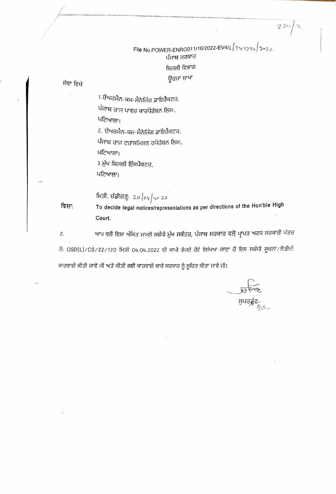File No. POWER-ENRG011/16/2022-EV4/1 347294 2022 ਪੰਜਾਬ ਸਰਕਾਰ ਬਿਜਲੀ ਵਿਭਾਗ ਊਰਜਾ ਸ਼ਾਖਾ

 $230/2$ 

ਸੇਵਾ ਵਿਖੇ

1.ਚੇਅਚਮੈਨ-ਕਮ-ਮੈਨੇਜਿੰਗ ਡਾਇਰੈਕਟਰ,

ਪੰਜਾਬ ਰਾਜ ਪਾਵਰ ਕਾਰਪੋਰੇਸ਼ਨ ਲਿਮ:,

ਪਟਿਆਲਾ।

2. ਚੇਅਰਮੈਨ-ਕਮ-ਮੈਨੇਜਿੰਗ ਡਾਇਰੈਕਟਰ,

ਪੰਜਾਬ ਰਾਜ ਟਰਾਂਸਮਿਸ਼ਨ ਰਪੋਰੇਸ਼ਨ ਲਿਮ:,

ਪਟਿਆਲਾ।

3.ਮੁੱਖ ਬਿਜਲੀ ਇੰਸਪੈਕਟਰ,

ਪਟਿਆਲਾ।

ਸਿਤੀ, ਚੰਡੀਗੜ੍ਹ: 20  $\left\lfloor \frac{\log x}{2} \right\rfloor$ 22

To decide legal notices/representations as per directions of the Hon'ble High ਵਿਸ਼ਾ: Court.

ਆਪ ਵਲੋਂ ਵਿਸ਼ਾ ਅੰਕਿਤ ਮਾਮਲੇ ਸਬੰਧੀ ਮੁੱਖ ਸਕੱਤਰ, ਪੰਜਾਬ ਸਰਕਾਰ ਵਲੋਂ ਪ੍ਰਾਪਤ ਅਰਧ ਸਰਕਾਰੀ ਪੱਤਰ  $2.$ ਨੰ: OSD(L)/CS/22/120 ਮਿਤੀ 04.04.2022 ਦੀ ਕਾਪੀ ਭੇਜਦੇ ਹੋਏ ਲਿਖਿਆ ਜਾਂਦਾ ਹੈ ਇਸ ਸਬੰਧੀ ਸੂਚਨਾ/ਲੋੜੀਦੀ ਕਾਰਵਾਈ ਕੀਤੀ ਜਾਵੇ ਜੀ ਅਤੇ ਕੀਤੀ ਗਈ ਕਾਰਵਾਈ ਬਾਰੇ ਸਰਕਾਰ ਨੂੰ ਸੂਚਿਤ ਕੀਤਾ ਜਾਵੇ ਜੀ।

ਸੁਪਰਡ੍ਰੰਟ